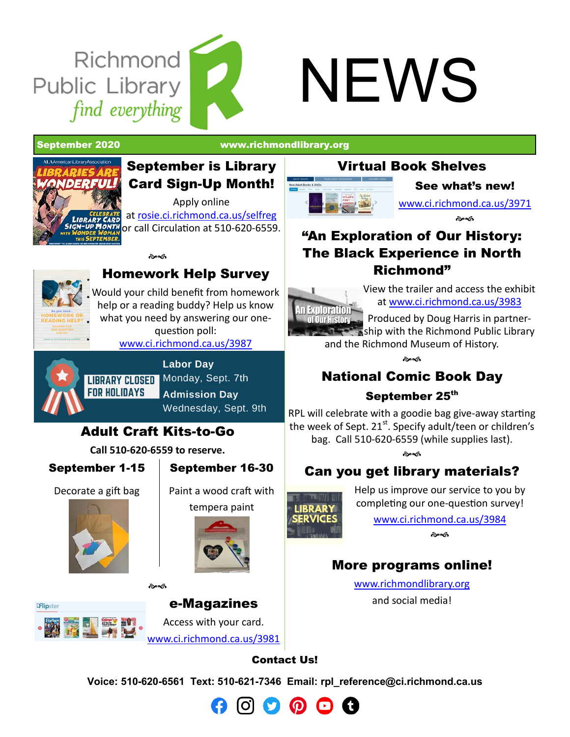## NEWS

**Richmond** 

find everything

Public Library

September 2020 [www.richmondlibrary.org](http://www.richmondlibrary.org)

# *ONDERFUL*

### September is Library Card Sign-Up Month!

Apply online at [rosie.ci.richmond.ca.us/selfreg](https://rosie.ci.richmond.ca.us/selfreg) or call Circulation at 510-620-6559.



### Homework Help Survey

**Book** 

Would your child benefit from homework help or a reading buddy? Help us know what you need by answering our onequestion poll:

[www.ci.richmond.ca.us/3987](http://www.ci.richmond.ca.us/3987/Homework-Help-Survey)



**Labor Day LIBRARY CLOSED** Monday, Sept. 7th **Admission Day** Wednesday, Sept. 9th

### Adult Craft Kits-to-Go

**Call 510-620-6559 to reserve.**

๛๘

September 1-15

September 16-30

Decorate a gift bag





Paint a wood craft with tempera paint



**Flipster** 

e-Magazines Access with your card. [www.ci.richmond.ca.us/3981](https://www.ci.richmond.ca.us/3981/e-Magazines)

### Virtual Book Shelves



See what's new!

[www.ci.richmond.ca.us/3971](https://www.ci.richmond.ca.us/3971/New-Books)

డావ

### "An Exploration of Our History: The Black Experience in North Richmond"

View the trailer and access the exhibit a[t w](http://dougharrismedia.com/exhibit.html)[ww.ci.richmond.ca.us/3983](https://www.ci.richmond.ca.us/3983/Black-History-PhotoVideo-Exhibit)

In Exploration-Produced by Doug Harris in partner-**Our History** ship with the Richmond Public Library and the Richmond Museum of History.

a<br>Cresh

### National Comic Book Day

### September 25<sup>th</sup>

RPL will celebrate with a goodie bag give-away starting the week of Sept.  $21^{st}$ . Specify adult/teen or children's bag. Call 510-620-6559 (while supplies last).

డించ

### Can you get library materials?

**IRRARY** 

Help us improve our service to you by completing our one-question survey!

> [www.ci.richmond.ca.us/3984](https://www.ci.richmond.ca.us/3984/Library-Services-Survey) సౌత

### More programs online!

[www.richmondlibrary.org](http://www.richmodlibrary.org) and social media!



**Voice: 510-620-6561 Text: 510-621-7346 Email: [rpl\\_reference@ci.richmond.ca.us](mailto:rpl_reference@ci.richmond.ca.us)**